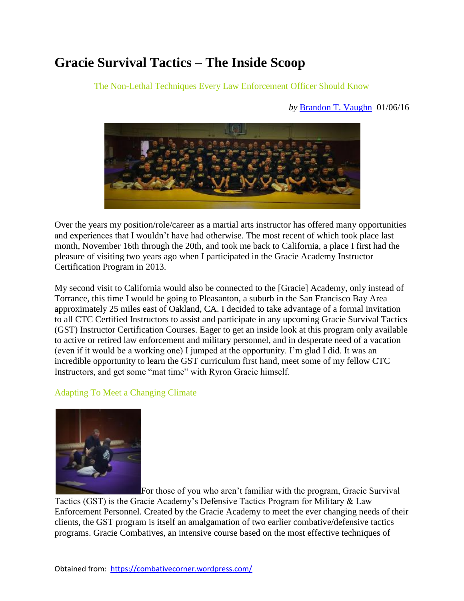# **Gracie Survival Tactics – The Inside Scoop**

The Non-Lethal Techniques Every Law Enforcement Officer Should Know

#### *by* [Brandon T. Vaughn](https://combativecorner.wordpress.com/brandon-vaughn/) 01/06/16



Over the years my position/role/career as a martial arts instructor has offered many opportunities and experiences that I wouldn't have had otherwise. The most recent of which took place last month, November 16th through the 20th, and took me back to California, a place I first had the pleasure of visiting two years ago when I participated in the Gracie Academy Instructor Certification Program in 2013.

My second visit to California would also be connected to the [Gracie] Academy, only instead of Torrance, this time I would be going to Pleasanton, a suburb in the San Francisco Bay Area approximately 25 miles east of Oakland, CA. I decided to take advantage of a formal invitation to all CTC Certified Instructors to assist and participate in any upcoming Gracie Survival Tactics (GST) Instructor Certification Courses. Eager to get an inside look at this program only available to active or retired law enforcement and military personnel, and in desperate need of a vacation (even if it would be a working one) I jumped at the opportunity. I'm glad I did. It was an incredible opportunity to learn the GST curriculum first hand, meet some of my fellow CTC Instructors, and get some "mat time" with Ryron Gracie himself.

## Adapting To Meet a Changing Climate



For those of you who aren't familiar with the program, Gracie Survival Tactics (GST) is the Gracie Academy's Defensive Tactics Program for Military & Law Enforcement Personnel. Created by the Gracie Academy to meet the ever changing needs of their clients, the GST program is itself an amalgamation of two earlier combative/defensive tactics programs. Gracie Combatives, an intensive course based on the most effective techniques of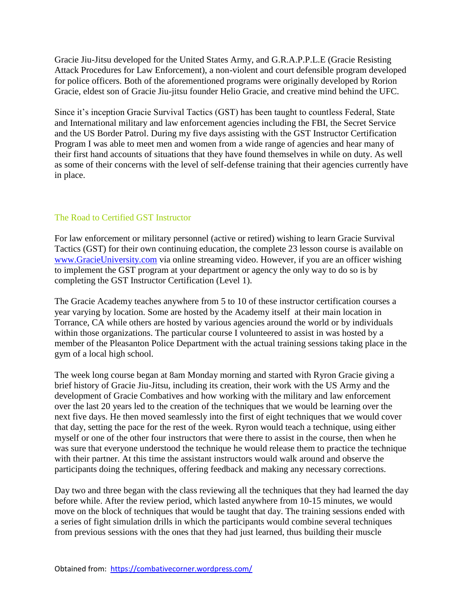Gracie Jiu-Jitsu developed for the United States Army, and G.R.A.P.P.L.E (Gracie Resisting Attack Procedures for Law Enforcement), a non-violent and court defensible program developed for police officers. Both of the aforementioned programs were originally developed by Rorion Gracie, eldest son of Gracie Jiu-jitsu founder Helio Gracie, and creative mind behind the UFC.

Since it's inception Gracie Survival Tactics (GST) has been taught to countless Federal, State and International military and law enforcement agencies including the FBI, the Secret Service and the US Border Patrol. During my five days assisting with the GST Instructor Certification Program I was able to meet men and women from a wide range of agencies and hear many of their first hand accounts of situations that they have found themselves in while on duty. As well as some of their concerns with the level of self-defense training that their agencies currently have in place.

## The Road to Certified GST Instructor

For law enforcement or military personnel (active or retired) wishing to learn Gracie Survival Tactics (GST) for their own continuing education, the complete 23 lesson course is available o[n](http://www.gracieuniversity.com/) [www.GracieUniversity.com](http://www.gracieuniversity.com/) via online streaming video. However, if you are an officer wishing to implement the GST program at your department or agency the only way to do so is by completing the GST Instructor Certification (Level 1).

The Gracie Academy teaches anywhere from 5 to 10 of these instructor certification courses a year varying by location. Some are hosted by the Academy itself at their main location in Torrance, CA while others are hosted by various agencies around the world or by individuals within those organizations. The particular course I volunteered to assist in was hosted by a member of the Pleasanton Police Department with the actual training sessions taking place in the gym of a local high school.

The week long course began at 8am Monday morning and started with Ryron Gracie giving a brief history of Gracie Jiu-Jitsu, including its creation, their work with the US Army and the development of Gracie Combatives and how working with the military and law enforcement over the last 20 years led to the creation of the techniques that we would be learning over the next five days. He then moved seamlessly into the first of eight techniques that we would cover that day, setting the pace for the rest of the week. Ryron would teach a technique, using either myself or one of the other four instructors that were there to assist in the course, then when he was sure that everyone understood the technique he would release them to practice the technique with their partner. At this time the assistant instructors would walk around and observe the participants doing the techniques, offering feedback and making any necessary corrections.

Day two and three began with the class reviewing all the techniques that they had learned the day before while. After the review period, which lasted anywhere from 10-15 minutes, we would move on the block of techniques that would be taught that day. The training sessions ended with a series of fight simulation drills in which the participants would combine several techniques from previous sessions with the ones that they had just learned, thus building their muscle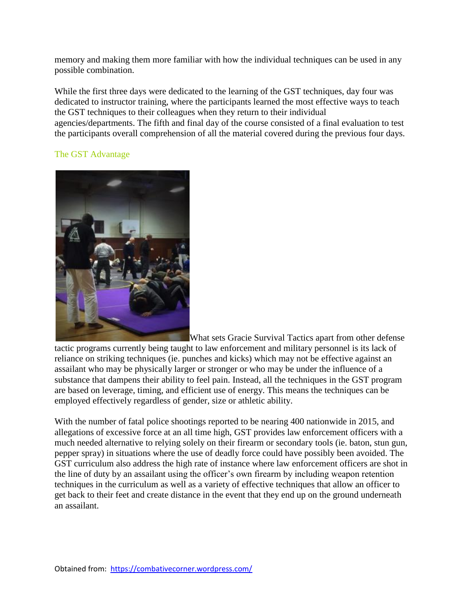memory and making them more familiar with how the individual techniques can be used in any possible combination.

While the first three days were dedicated to the learning of the GST techniques, day four was dedicated to instructor training, where the participants learned the most effective ways to teach the GST techniques to their colleagues when they return to their individual agencies/departments. The fifth and final day of the course consisted of a final evaluation to test the participants overall comprehension of all the material covered during the previous four days.

## The GST Advantage



What sets Gracie Survival Tactics apart from other defense tactic programs currently being taught to law enforcement and military personnel is its lack of reliance on striking techniques (ie. punches and kicks) which may not be effective against an assailant who may be physically larger or stronger or who may be under the influence of a substance that dampens their ability to feel pain. Instead, all the techniques in the GST program are based on leverage, timing, and efficient use of energy. This means the techniques can be employed effectively regardless of gender, size or athletic ability.

With the number of fatal police shootings reported to be nearing 400 nationwide in 2015, and allegations of excessive force at an all time high, GST provides law enforcement officers with a much needed alternative to relying solely on their firearm or secondary tools (ie. baton, stun gun, pepper spray) in situations where the use of deadly force could have possibly been avoided. The GST curriculum also address the high rate of instance where law enforcement officers are shot in the line of duty by an assailant using the officer's own firearm by including weapon retention techniques in the curriculum as well as a variety of effective techniques that allow an officer to get back to their feet and create distance in the event that they end up on the ground underneath an assailant.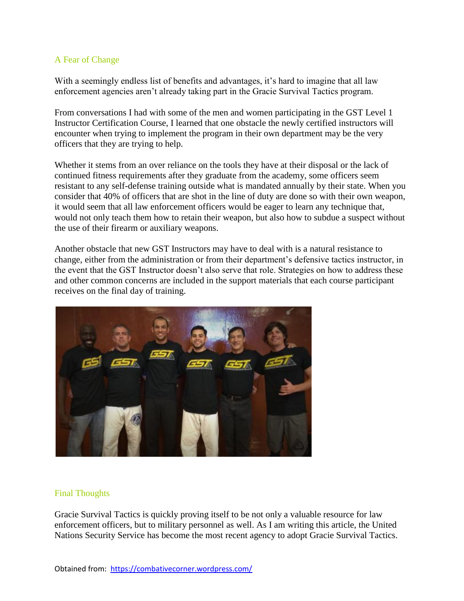#### A Fear of Change

With a seemingly endless list of benefits and advantages, it's hard to imagine that all law enforcement agencies aren't already taking part in the Gracie Survival Tactics program.

From conversations I had with some of the men and women participating in the GST Level 1 Instructor Certification Course, I learned that one obstacle the newly certified instructors will encounter when trying to implement the program in their own department may be the very officers that they are trying to help.

Whether it stems from an over reliance on the tools they have at their disposal or the lack of continued fitness requirements after they graduate from the academy, some officers seem resistant to any self-defense training outside what is mandated annually by their state. When you consider that 40% of officers that are shot in the line of duty are done so with their own weapon, it would seem that all law enforcement officers would be eager to learn any technique that, would not only teach them how to retain their weapon, but also how to subdue a suspect without the use of their firearm or auxiliary weapons.

Another obstacle that new GST Instructors may have to deal with is a natural resistance to change, either from the administration or from their department's defensive tactics instructor, in the event that the GST Instructor doesn't also serve that role. Strategies on how to address these and other common concerns are included in the support materials that each course participant receives on the final day of training.



## Final Thoughts

Gracie Survival Tactics is quickly proving itself to be not only a valuable resource for law enforcement officers, but to military personnel as well. As I am writing this article, the United Nations Security Service has become the most recent agency to adopt Gracie Survival Tactics.